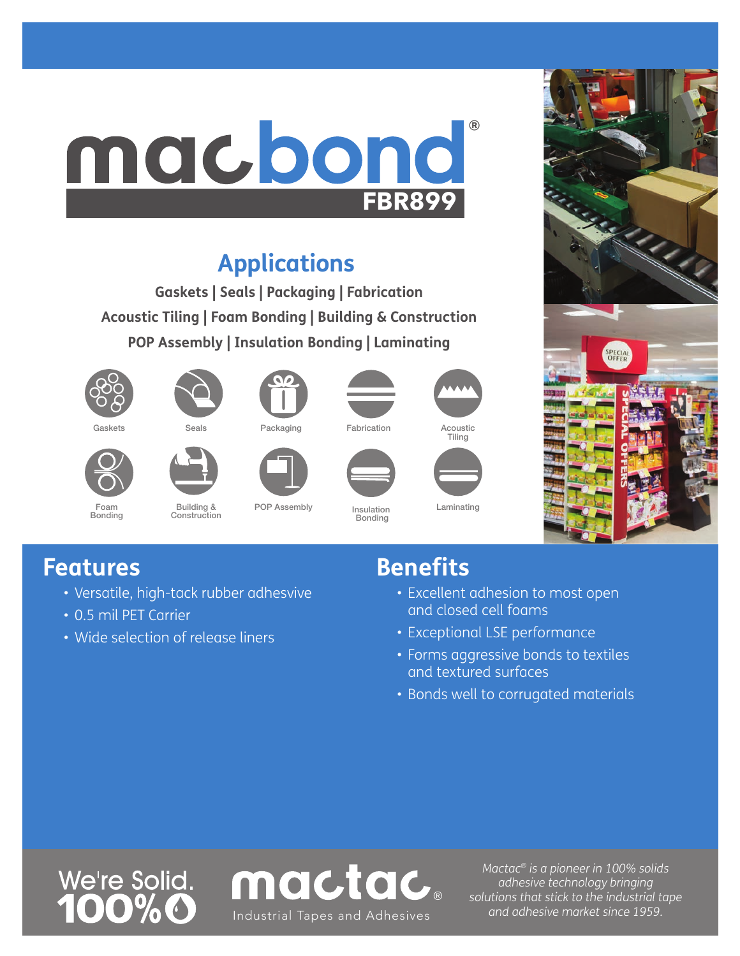# macbond ® **FBR899**

## **Applications**

**Gaskets | Seals | Packaging | Fabrication Acoustic Tiling | Foam Bonding | Building & Construction POP Assembly | Insulation Bonding | Laminating**



Foam Bonding







Bonding

POP Assembly Insulation





Laminating



#### **Features**

• Versatile, high-tack rubber adhesvive

Building & **Construction** 

- 0.5 mil PET Carrier
- Wide selection of release liners

### **Benefits**

- Excellent adhesion to most open and closed cell foams
- Exceptional LSE performance
- Forms aggressive bonds to textiles and textured surfaces
- Bonds well to corrugated materials





*Mactac® is a pioneer in 100% solids adhesive technology bringing solutions that stick to the industrial tape*